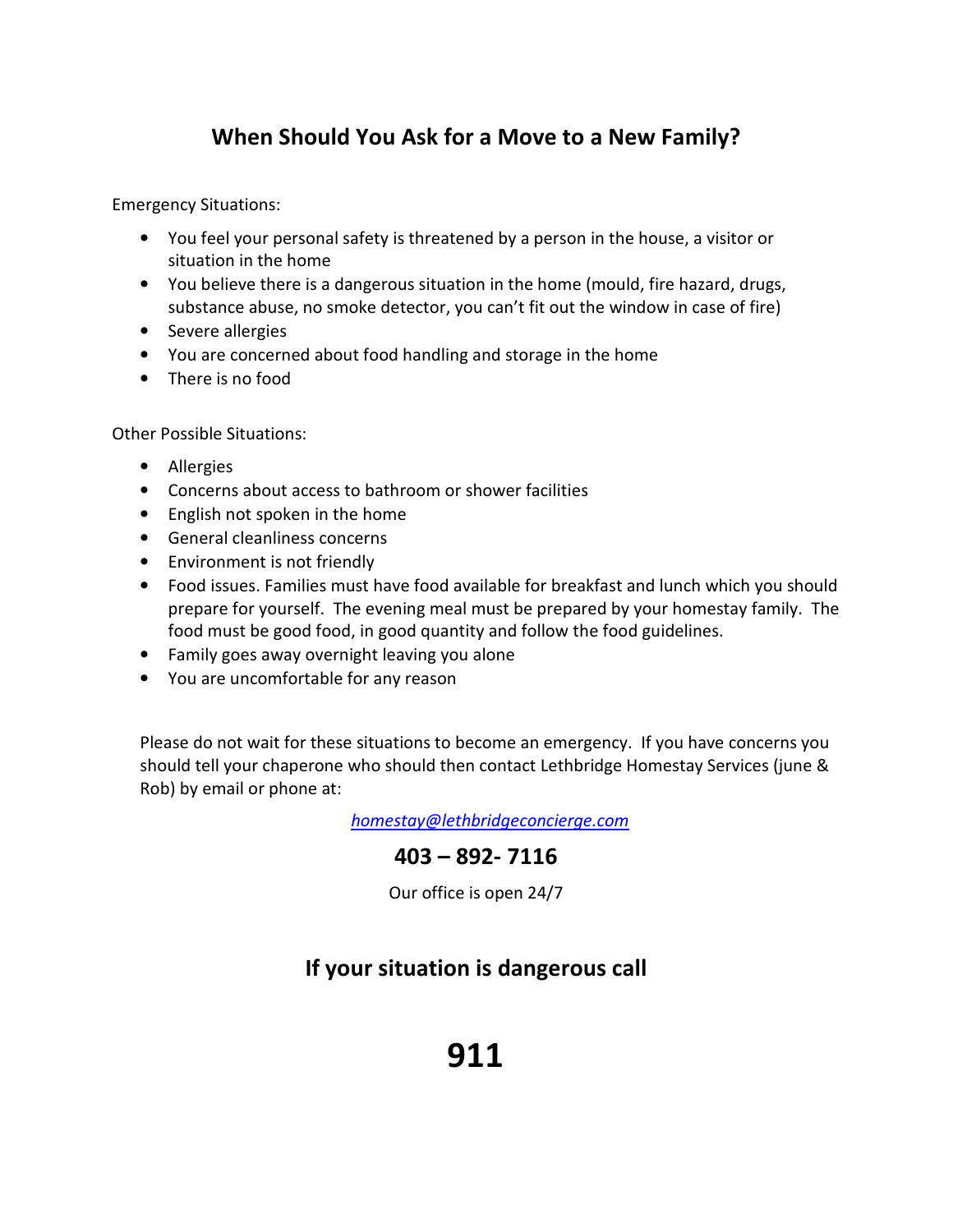## When Should You Ask for a Move to a New Family?

Emergency Situations:

- You feel your personal safety is threatened by a person in the house, a visitor or situation in the home
- You believe there is a dangerous situation in the home (mould, fire hazard, drugs, substance abuse, no smoke detector, you can't fit out the window in case of fire)
- Severe allergies
- You are concerned about food handling and storage in the home
- There is no food

Other Possible Situations:

- Allergies
- Concerns about access to bathroom or shower facilities
- English not spoken in the home
- General cleanliness concerns
- Environment is not friendly
- Food issues. Families must have food available for breakfast and lunch which you should prepare for yourself. The evening meal must be prepared by your homestay family. The food must be good food, in good quantity and follow the food guidelines.
- Family goes away overnight leaving you alone
- You are uncomfortable for any reason

Please do not wait for these situations to become an emergency. If you have concerns you should tell your chaperone who should then contact Lethbridge Homestay Services (june & Rob) by email or phone at:

homestay@lethbridgeconcierge.com

### 403 – 892- 7116

Our office is open 24/7

## If your situation is dangerous call

# 911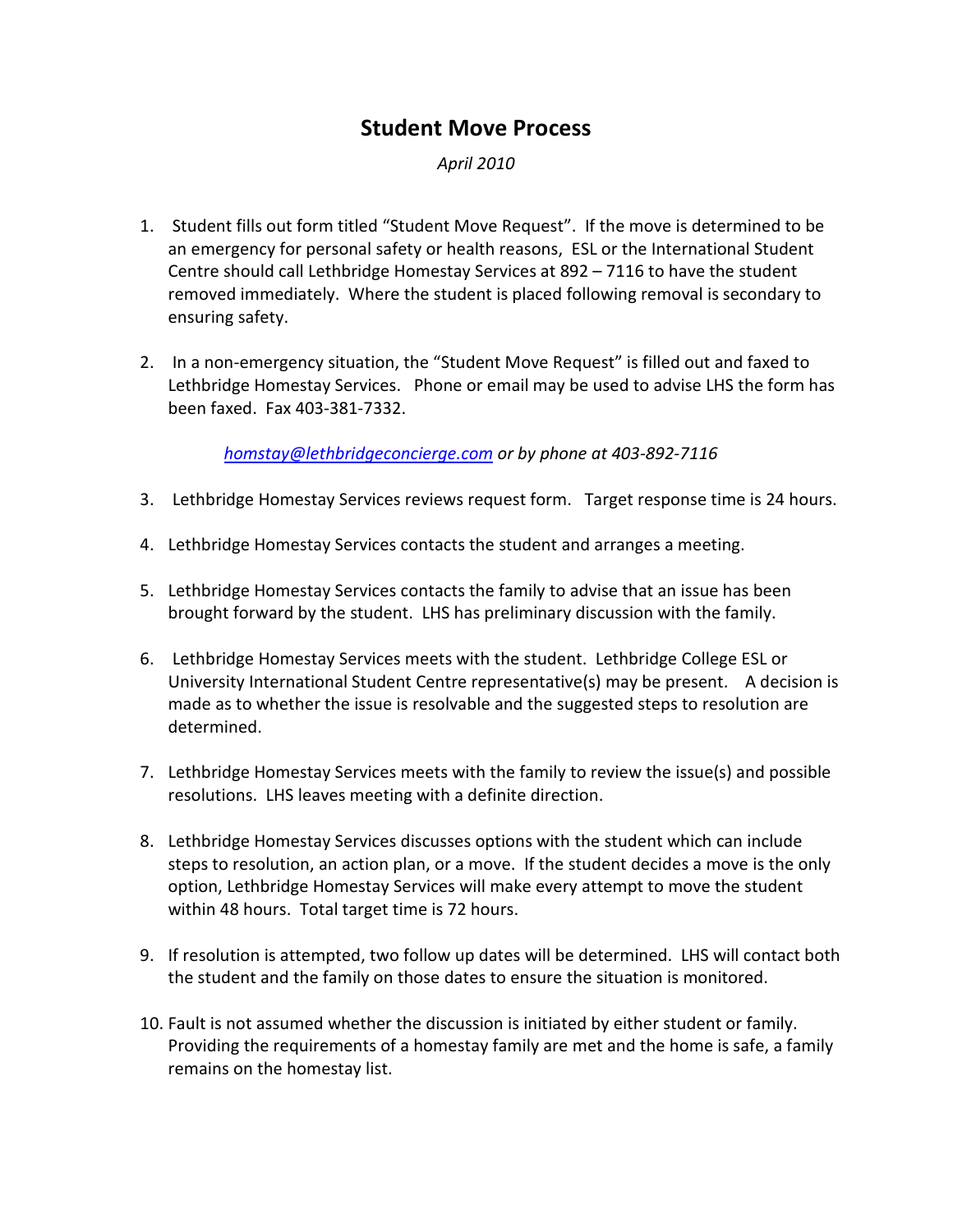### Student Move Process

April 2010

- 1. Student fills out form titled "Student Move Request". If the move is determined to be an emergency for personal safety or health reasons, ESL or the International Student Centre should call Lethbridge Homestay Services at 892 – 7116 to have the student removed immediately. Where the student is placed following removal is secondary to ensuring safety.
- 2. In a non-emergency situation, the "Student Move Request" is filled out and faxed to Lethbridge Homestay Services. Phone or email may be used to advise LHS the form has been faxed. Fax 403-381-7332.

homstay@lethbridgeconcierge.com or by phone at 403-892-7116

- 3. Lethbridge Homestay Services reviews request form. Target response time is 24 hours.
- 4. Lethbridge Homestay Services contacts the student and arranges a meeting.
- 5. Lethbridge Homestay Services contacts the family to advise that an issue has been brought forward by the student. LHS has preliminary discussion with the family.
- 6. Lethbridge Homestay Services meets with the student. Lethbridge College ESL or University International Student Centre representative(s) may be present. A decision is made as to whether the issue is resolvable and the suggested steps to resolution are determined.
- 7. Lethbridge Homestay Services meets with the family to review the issue(s) and possible resolutions. LHS leaves meeting with a definite direction.
- 8. Lethbridge Homestay Services discusses options with the student which can include steps to resolution, an action plan, or a move. If the student decides a move is the only option, Lethbridge Homestay Services will make every attempt to move the student within 48 hours. Total target time is 72 hours.
- 9. If resolution is attempted, two follow up dates will be determined. LHS will contact both the student and the family on those dates to ensure the situation is monitored.
- 10. Fault is not assumed whether the discussion is initiated by either student or family. Providing the requirements of a homestay family are met and the home is safe, a family remains on the homestay list.